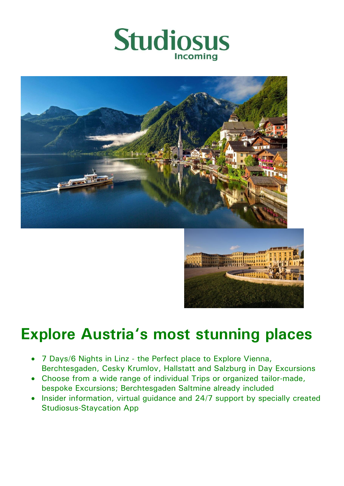





# **Explore Austria's most stunning places**

- 7 Days/6 Nights in Linz the Perfect place to Explore Vienna, Berchtesgaden, Cesky Krumlov, Hallstatt and Salzburg in Day Excursions
- Choose from a wide range of individual Trips or organized tailor-made, bespoke Excursions; Berchtesgaden Saltmine already included
- Insider information, virtual guidance and 24/7 support by specially created Studiosus-Staycation App